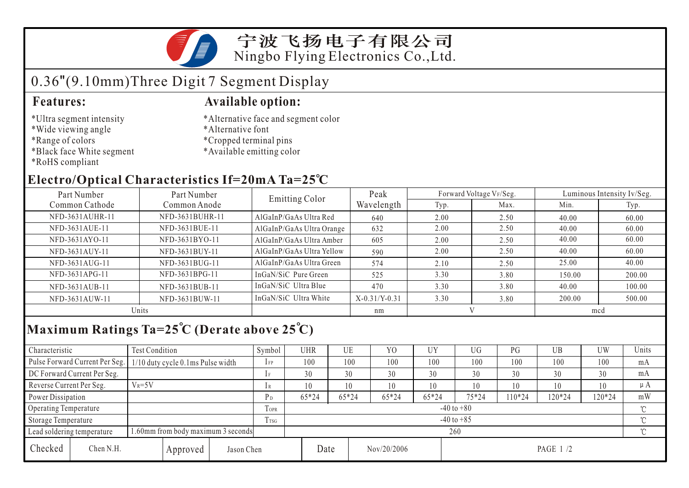宁波飞扬电子有限公司 Ningbo Flying Electronics Co.,Ltd.

# 0.36"(9.10mm)Three Digit 7 Segment Display

- \*Ultra segment intensity
- \*Wide viewing angle
- \*Range of colors
- \*Black face White segment
- \*RoHS compliant

#### **Features: Available option:**

- \*Alternative face and segment color
- \*Alternative font
- \*Cropped terminal pins
- \*Available emitting color

### **Electro/Optical Characteristics If=20mA Ta=25 C**

| Part Number<br>Part Number |                 | <b>Emitting Color</b>     | Peak            |      | Forward Voltage VF/Seg. | Luminous Intensity Iv/Seg. |        |  |
|----------------------------|-----------------|---------------------------|-----------------|------|-------------------------|----------------------------|--------|--|
| Common Cathode             | Common Anode    |                           | Wavelength      | Typ. | Max.                    | Min.                       | Typ.   |  |
| NFD-3631AUHR-11            | NFD-3631BUHR-11 | AlGaInP/GaAs Ultra Red    | 640             | 2.00 | 2.50                    | 40.00                      | 60.00  |  |
| NFD-3631AUE-11             | NFD-3631BUE-11  | AlGaInP/GaAs Ultra Orange | 632             | 2.00 | 2.50                    | 40.00                      | 60.00  |  |
| NFD-3631AYO-11             | NFD-3631BYO-11  | AlGaInP/GaAs Ultra Amber  | 605             | 2.00 | 2.50                    | 40.00                      | 60.00  |  |
| NFD-3631AUY-11             | NFD-3631BUY-11  | AlGaInP/GaAs Ultra Yellow | 590             | 2.00 | 2.50                    | 40.00                      | 60.00  |  |
| NFD-3631AUG-11             | NFD-3631BUG-11  | AlGaInP/GaAs Ultra Green  | 574             | 2.10 | 2.50                    | 25.00                      | 40.00  |  |
| NFD-3631APG-11             | NFD-3631BPG-11  | InGaN/SiC Pure Green      | 525             | 3.30 | 3.80                    | 150.00                     | 200.00 |  |
| NFD-3631AUB-11             | NFD-3631BUB-11  | InGaN/SiC Ultra Blue      | 470             | 3.30 | 3.80                    | 40.00                      | 100.00 |  |
| NFD-3631AUW-11             | NFD-3631BUW-11  | InGaN/SiC Ultra White     | $X-0.31/Y-0.31$ | 3.30 | 3.80                    | 200.00                     | 500.00 |  |
| Units                      |                 |                           | nm              |      |                         | mcd                        |        |  |

## **Maximum Ratings Ta=25 C (Derate above 25 C)**

| Characteristic                                                   |           | <b>Test Condition</b>                                              |                |                | Symbol         | <b>UHR</b> |       | UE          | Y <sub>0</sub> | UY        | UG     | PG     | UB     | UW  | Units |
|------------------------------------------------------------------|-----------|--------------------------------------------------------------------|----------------|----------------|----------------|------------|-------|-------------|----------------|-----------|--------|--------|--------|-----|-------|
|                                                                  |           | Pulse Forward Current Per Seg.   1/10 duty cycle 0.1ms Pulse width |                |                | $1$ FP         | 100        |       | 100         | 100            | 100       | 100    | 100    | 100    | 100 | mA    |
| DC Forward Current Per Seg.                                      |           |                                                                    |                | 1F             | 30             |            | 30    | 30          | 30             | 30        | 30     | 30     | 30     | mA  |       |
| Reverse Current Per Seg.                                         |           | $V_R = 5V$                                                         |                |                | 1 R            | 10         |       | 10          | 10             | 10        | 10     | 10     | 10     | 10  | μA    |
| Power Dissipation                                                |           |                                                                    | P <sub>D</sub> | $65*24$        |                | $65*24$    | 65*24 | 65*24       | 75*24          | $10*24$   | 120*24 | 120*24 | mW     |     |       |
| <b>Operating Temperature</b>                                     |           |                                                                    |                | <b>TOPR</b>    | $-40$ to $+80$ |            |       |             |                |           |        |        |        |     |       |
| Storage Temperature                                              |           |                                                                    | Trsg           | $-40$ to $+85$ |                |            |       |             |                |           |        |        | $\sim$ |     |       |
| 1.60mm from body maximum 3 seconds<br>Lead soldering temperature |           |                                                                    |                |                | 260            |            |       |             |                |           |        |        |        |     |       |
| Checked                                                          | Chen N.H. | Jason Chen<br>Approved                                             |                |                | Date           |            |       | Nov/20/2006 |                | PAGE 1 /2 |        |        |        |     |       |